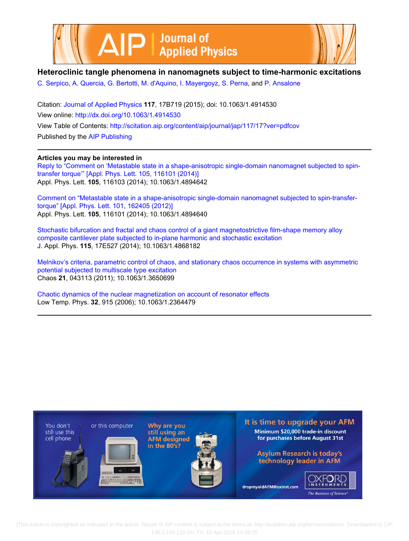



## **Heteroclinic tangle phenomena in nanomagnets subject to time-harmonic excitations**

[C. Serpico,](http://scitation.aip.org/search?value1=C.+Serpico&option1=author) [A. Quercia](http://scitation.aip.org/search?value1=A.+Quercia&option1=author), [G. Bertotti,](http://scitation.aip.org/search?value1=G.+Bertotti&option1=author) [M. d'Aquino,](http://scitation.aip.org/search?value1=M.+d) [I. Mayergoyz,](http://scitation.aip.org/search?value1=I.+Mayergoyz&option1=author) [S. Perna](http://scitation.aip.org/search?value1=S.+Perna&option1=author), and [P. Ansalone](http://scitation.aip.org/search?value1=P.+Ansalone&option1=author)

Citation: [Journal of Applied Physics](http://scitation.aip.org/content/aip/journal/jap?ver=pdfcov) **117**, 17B719 (2015); doi: 10.1063/1.4914530 View online: <http://dx.doi.org/10.1063/1.4914530> View Table of Contents: <http://scitation.aip.org/content/aip/journal/jap/117/17?ver=pdfcov> Published by the [AIP Publishing](http://scitation.aip.org/content/aip?ver=pdfcov)

## **Articles you may be interested in**

[Reply to "Comment on 'Metastable state in a shape-anisotropic single-domain nanomagnet subjected to spin](http://scitation.aip.org/content/aip/journal/apl/105/11/10.1063/1.4894642?ver=pdfcov)[transfer torque'" \[Appl. Phys. Lett. 105, 116101 \(2014\)\]](http://scitation.aip.org/content/aip/journal/apl/105/11/10.1063/1.4894642?ver=pdfcov) Appl. Phys. Lett. **105**, 116103 (2014); 10.1063/1.4894642

[Comment on "Metastable state in a shape-anisotropic single-domain nanomagnet subjected to spin-transfer](http://scitation.aip.org/content/aip/journal/apl/105/11/10.1063/1.4894640?ver=pdfcov)[torque" \[Appl. Phys. Lett. 101, 162405 \(2012\)\]](http://scitation.aip.org/content/aip/journal/apl/105/11/10.1063/1.4894640?ver=pdfcov) Appl. Phys. Lett. **105**, 116101 (2014); 10.1063/1.4894640

[Stochastic bifurcation and fractal and chaos control of a giant magnetostrictive film-shape memory alloy](http://scitation.aip.org/content/aip/journal/jap/115/17/10.1063/1.4868182?ver=pdfcov) [composite cantilever plate subjected to in-plane harmonic and stochastic excitation](http://scitation.aip.org/content/aip/journal/jap/115/17/10.1063/1.4868182?ver=pdfcov) J. Appl. Phys. **115**, 17E527 (2014); 10.1063/1.4868182

[Melnikov's criteria, parametric control of chaos, and stationary chaos occurrence in systems with asymmetric](http://scitation.aip.org/content/aip/journal/chaos/21/4/10.1063/1.3650699?ver=pdfcov) [potential subjected to multiscale type excitation](http://scitation.aip.org/content/aip/journal/chaos/21/4/10.1063/1.3650699?ver=pdfcov) Chaos **21**, 043113 (2011); 10.1063/1.3650699

[Chaotic dynamics of the nuclear magnetization on account of resonator effects](http://scitation.aip.org/content/aip/journal/ltp/32/10/10.1063/1.2364479?ver=pdfcov) Low Temp. Phys. **32**, 915 (2006); 10.1063/1.2364479



 [This article is copyrighted as indicated in the article. Reuse of AIP content is subject to the terms at: http://scitation.aip.org/termsconditions. Downloaded to ] IP: 138.5.159.110 On: Fri, 10 Apr 2015 14:38:25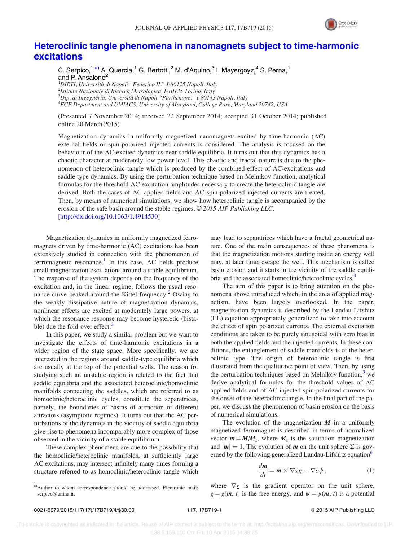

## <span id="page-1-0"></span>[Heteroclinic tangle phenomena in nanomagnets subject to time-harmonic](http://dx.doi.org/10.1063/1.4914530) [excitations](http://dx.doi.org/10.1063/1.4914530)

C. Serpico,<sup>1,a)</sup> A. Quercia,<sup>1</sup> G. Bertotti,<sup>2</sup> M. d'Aquino,<sup>3</sup> I. Mayergoyz,<sup>4</sup> S. Perna,<sup>1</sup> and P. Ansalone<sup>2</sup> <sup>1</sup>DIETI, Università di Napoli "Federico II," I-80125 Napoli, Italy

2 Istituto Nazionale di Ricerca Metrologica, I-10135 Torino, Italy <sup>3</sup>Dip. di Ingegneria, Università di Napoli "Parthenope," I-80143 Napoli, Italy <sup>4</sup>ECE Department and UMIACS, University of Maryland, College Park, Maryland 20742, USA

(Presented 7 November 2014; received 22 September 2014; accepted 31 October 2014; published online 20 March 2015)

Magnetization dynamics in uniformly magnetized nanomagnets excited by time-harmonic (AC) external fields or spin-polarized injected currents is considered. The analysis is focused on the behaviour of the AC-excited dynamics near saddle equilibria. It turns out that this dynamics has a chaotic character at moderately low power level. This chaotic and fractal nature is due to the phenomenon of heteroclinic tangle which is produced by the combined effect of AC-excitations and saddle type dynamics. By using the perturbation technique based on Melnikov function, analytical formulas for the threshold AC excitation amplitudes necessary to create the heteroclinic tangle are derived. Both the cases of AC applied fields and AC spin-polarized injected currents are treated. Then, by means of numerical simulations, we show how heteroclinic tangle is accompanied by the erosion of the safe basin around the stable regimes.  $\odot$  2015 AIP Publishing LLC. [\[http://dx.doi.org/10.1063/1.4914530](http://dx.doi.org/10.1063/1.4914530)]

Magnetization dynamics in uniformly magnetized ferromagnets driven by time-harmonic (AC) excitations has been extensively studied in connection with the phenomenon of ferromagnetic resonance.<sup>[1](#page-4-0)</sup> In this case, AC fields produce small magnetization oscillations around a stable equilibrium. The response of the system depends on the frequency of the excitation and, in the linear regime, follows the usual reso-nance curve peaked around the Kittel frequency.<sup>[2](#page-4-0)</sup> Owing to the weakly dissipative nature of magnetization dynamics, nonlinear effects are excited at moderately large powers, at which the resonance response may become hysteretic (bistable) due the fold-over effect. $3$ 

In this paper, we study a similar problem but we want to investigate the effects of time-harmonic excitations in a wider region of the state space. More specifically, we are interested in the regions around saddle-type equilibria which are usually at the top of the potential wells. The reason for studying such an unstable region is related to the fact that saddle equilibria and the associated heteroclinic/homoclinic manifolds connecting the saddles, which are referred to as homoclinic/heteroclinic cycles, constitute the separatrices, namely, the boundaries of basins of attraction of different attractors (asymptotic regimes). It turns out that the AC perturbations of the dynamics in the vicinity of saddle equilibria give rise to phenomena incomparably more complex of those observed in the vicinity of a stable equilibrium.

These complex phenomena are due to the possibility that the homoclinic/heteroclinic manifolds, at sufficiently large AC excitations, may intersect infinitely many times forming a structure referred to as homoclinic/heteroclinic tangle which

may lead to separatrices which have a fractal geometrical nature. One of the main consequences of these phenomena is that the magnetization motions starting inside an energy well may, at later time, escape the well. This mechanism is called basin erosion and it starts in the vicinity of the saddle equilibria and the associated homoclinic/heteroclinic cycles.<sup>4</sup>

The aim of this paper is to bring attention on the phenomena above introduced which, in the area of applied magnetism, have been largely overlooked. In the paper, magnetization dynamics is described by the Landau-Lifshitz (LL) equation appropriately generalized to take into account the effect of spin polarized currents. The external excitation conditions are taken to be purely sinusoidal with zero bias in both the applied fields and the injected currents. In these conditions, the entanglement of saddle manifolds is of the heteroclinic type. The origin of heteroclinic tangle is first illustrated from the qualitative point of view. Then, by using the perturbation techniques based on Melnikov function, $5$  we derive analytical formulas for the threshold values of AC applied fields and of AC injected spin-polarized currents for the onset of the heteroclinic tangle. In the final part of the paper, we discuss the phenomenon of basin erosion on the basis of numerical simulations.

The evolution of the magnetization  $M$  in a uniformly magnetized ferromagnet is described in terms of normalized vector  $m = M/M_s$ , where  $M_s$  is the saturation magnetization and  $|\mathbf{m}| = 1$ . The evolution of **m** on the unit sphere  $\Sigma$  is governed by the following generalized Landau-Lifshitz equation<sup>6</sup>

$$
\frac{dm}{dt} = m \times \nabla_{\Sigma} g - \nabla_{\Sigma} \psi , \qquad (1)
$$

where  $\nabla_{\Sigma}$  is the gradient operator on the unit sphere,  $g = g(m, t)$  is the free energy, and  $\psi = \psi(m, t)$  is a potential

a)Author to whom correspondence should be addressed. Electronic mail: serpico@unina.it.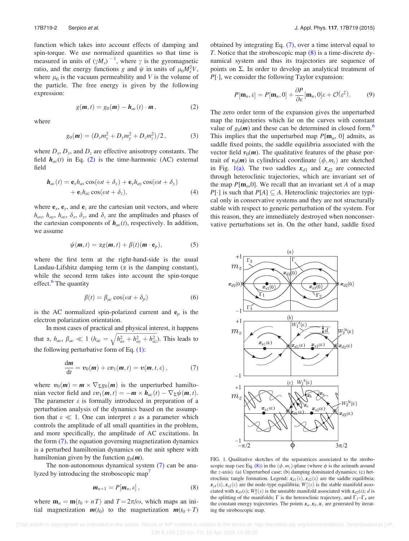<span id="page-2-0"></span>function which takes into account effects of damping and spin-torque. We use normalized quantities so that time is measured in units of  $(\gamma M_s)^{-1}$ , where  $\gamma$  is the gyromagnetic ratio, and the energy functions g and  $\psi$  in units of  $\mu_0 M_s^2 V$ , where  $\mu_0$  is the vacuum permeability and V is the volume of the particle. The free energy is given by the following expression:

$$
g(\mathbf{m},t) = g_0(\mathbf{m}) - \mathbf{h}_{ac}(t) \cdot \mathbf{m}, \qquad (2)
$$

where

$$
g_0(\mathbf{m}) = (D_x m_x^2 + D_y m_y^2 + D_z m_z^2)/2, \qquad (3)
$$

where  $D_x$ ,  $D_y$ , and  $D_z$  are effective anisotropy constants. The field  $h_{ac}(t)$  in Eq. (2) is the time-harmonic (AC) external field

$$
\begin{aligned} \mathbf{h}_{ac}(t) &= \mathbf{e}_x h_{ax} \cos(\omega t + \delta_x) + \mathbf{e}_y h_{ay} \cos(\omega t + \delta_y) \\ &+ \mathbf{e}_z h_{az} \cos(\omega t + \delta_z), \end{aligned} \tag{4}
$$

where  $e_x$ ,  $e_y$ , and  $e_z$  are the cartesian unit vectors, and where  $h_{ax}$ ,  $h_{ay}$ ,  $h_{az}$ ,  $\delta_x$ ,  $\delta_y$ , and  $\delta_z$  are the amplitudes and phases of the cartesian components of  $h_{ac}(t)$ , respectively. In addition, we assume

$$
\psi(\mathbf{m},t)=\alpha g(\mathbf{m},t)+\beta(t)(\mathbf{m}\cdot\mathbf{e}_p),\qquad(5)
$$

where the first term at the right-hand-side is the usual Landau-Lifshitz damping term ( $\alpha$  is the damping constant), while the second term takes into account the spin-torque effect.<sup>[6](#page-4-0)</sup> The quantity

$$
\beta(t) = \beta_{ac} \cos(\omega t + \delta_p) \tag{6}
$$

is the AC normalized spin-polarized current and  $e_n$  is the electron polarization orientation.

In most cases of practical and physical interest, it happens that  $\alpha$ ,  $h_{ac}$ ,  $\beta_{ac} \ll 1$  ( $h_{ac}$  =  $\sqrt{h_{ax}^2 + h_{ay}^2 + h_{az}^2}$ . This leads to the following perturbative form of Eq.  $(1)$ :

$$
\frac{dm}{dt} = v_0(m) + \varepsilon v_1(m,t) = v(m,t,\varepsilon), \qquad (7)
$$

where  $v_0(m) = m \times \nabla_{\Sigma} g_0(m)$  is the unperturbed hamiltonian vector field and  $\epsilon v_1(m, t) = -m \times h_{ac}(t) - \nabla_{\Sigma} \psi(m, t)$ . The parameter  $\varepsilon$  is formally introduced in preparation of a perturbation analysis of the dynamics based on the assumption that  $\varepsilon \ll 1$ . One can interpret  $\varepsilon$  as a parameter which controls the amplitude of all small quantities in the problem, and more specifically, the amplitude of AC excitations. In the form  $(7)$ , the equation governing magnetization dynamics is a perturbed hamiltonian dynamics on the unit sphere with hamiltonian given by the function  $g_0(m)$ .

The non-autonomous dynamical system (7) can be analyzed by introducing the stroboscopic map<sup>1</sup>

$$
\mathbf{m}_{n+1} = P[\mathbf{m}_n, \varepsilon], \tag{8}
$$

where  $\mathbf{m}_n = \mathbf{m}(t_0 + nT)$  and  $T = 2\pi/\omega$ , which maps an initial magnetization  $m(t_0)$  to the magnetization  $m(t_0 + T)$  obtained by integrating Eq. (7), over a time interval equal to T. Notice that the stroboscopic map (8) is a time-discrete dynamical system and thus its trajectories are sequence of points on  $\Sigma$ . In order to develop an analytical treatment of  $P[\cdot]$ , we consider the following Taylor expansion:

$$
P[\mathbf{m}_n, \varepsilon] = P[\mathbf{m}_n, 0] + \frac{\partial P}{\partial \varepsilon}[\mathbf{m}_n, 0] \varepsilon + \mathcal{O}(\varepsilon^2). \tag{9}
$$

The zero order term of the expansion gives the unperturbed map the trajectories which lie on the curves with constant value of  $g_0(m)$  and these can be determined in closed form.<sup>[6](#page-4-0)</sup> This implies that the unperturbed map  $P[\mathbf{m}_n, 0]$  admits, as saddle fixed points, the saddle equilibria associated with the vector field  $v_0(m)$ . The qualitative features of the phase portrait of  $v_0(m)$  in cylindrical coordinate  $(\phi, m_z)$  are sketched in Fig. 1(a). The two saddles  $x_{d1}$  and  $x_{d2}$  are connected through heteroclinic trajectories, which are invariant set of the map  $P[\mathbf{m}_n,0]$ . We recall that an invariant set A of a map  $P[\cdot]$  is such that  $P[A] \subseteq A$ . Heteroclinic trajectories are typical only in conservative systems and they are not structurally stable with respect to generic perturbation of the system. For this reason, they are immediately destroyed when nonconservative perturbations set in. On the other hand, saddle fixed



FIG. 1. Qualitative sketches of the separatrices associated to the stroboscopic map (see Eq. (8)) in the  $(\phi, m_z)$ -plane (where  $\phi$  is the azimuth around the z-axis). (a) Unperturbed case; (b) damping dominated dynamics; (c) heteroclinic tangle formation. Legend:  $x_{d1}(ε), x_{d2}(ε)$  are the saddle equilibria;  $x_{s1}(\varepsilon), x_{s2}(\varepsilon)$  are the node-type equilibria;  $W_1^s(\varepsilon)$  is the stable manifold associated with  $x_{d1}(\varepsilon)$ ;  $W_2^u(\varepsilon)$  is the unstable manifold associated with  $x_{d2}(\varepsilon)$ ; d is the splitting of the manifolds;  $\Gamma$  is the heteroclinic trajectory, and  $\Gamma_1-\Gamma_4$  are the constant energy trajectories. The points  $x_a, x_b, x_c$  are generated by iterating the stroboscopic map.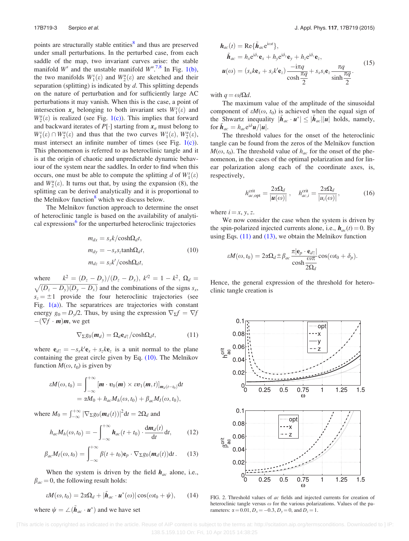<span id="page-3-0"></span>points are structurally stable entities<sup>[8](#page-4-0)</sup> and thus are preserved under small perturbations. In the perturbed case, from each saddle of the map, two invariant curves arise: the stable manifold  $W^s$  and the unstable manifold  $W^{\mu}$ ,<sup>[7,8](#page-4-0)</sup> In Fig. [1\(b\)](#page-2-0), the two manifolds  $W_1^s(\varepsilon)$  and  $W_2^u(\varepsilon)$  are sketched and their separation (splitting) is indicated by  $d$ . This splitting depends on the nature of perturbation and for sufficiently large AC perturbations it may vanish. When this is the case, a point of intersection  $x_a$  belonging to both invariant sets  $W_1^s(\varepsilon)$  and  $W_2^u(\varepsilon)$  is realized (see Fig. [1\(c\)](#page-2-0)). This implies that forward and backward iterates of  $P[\cdot]$  starting from  $x_a$  must belong to  $W_1^s(\varepsilon) \cap W_2^u(\varepsilon)$  and thus that the two curves  $W_1^s(\varepsilon)$ ,  $W_2^u(\varepsilon)$ , must intersect an infinite number of times (see Fig. [1\(c\)](#page-2-0)). This phenomenon is referred to as heteroclinic tangle and it is at the origin of chaotic and unpredictable dynamic behaviour of the system near the saddles. In order to find when this occurs, one must be able to compute the splitting d of  $W_1^s(\varepsilon)$ and  $W_2^u(\varepsilon)$ . It turns out that, by using the expansion (8), the splitting can be derived analytically and it is proportional to the Melnikov function<sup>[8](#page-4-0)</sup> which we discuss below.

The Melnikov function approach to determine the onset of heteroclinic tangle is based on the availability of analyti-cal expressions<sup>[6](#page-4-0)</sup> for the unperturbed heteroclinic trajectories

$$
m_{dx} = s_x k / \cosh\Omega_d t,
$$
  
\n
$$
m_{dy} = -s_x s_z \tanh\Omega_d t,
$$
  
\n
$$
m_{dz} = s_z k' / \cosh\Omega_d t,
$$
\n(10)

where  $k^2 = (D_z - D_y)/(D_z - D_x), k'^2 = 1 - k^2, \Omega_d =$  $\sqrt{(D_z - D_y)(D_y - D_x)}$  and the combinations of the signs  $s_x$ ,  $s_z = \pm 1$  provide the four heteroclinic trajectories (see Fig.  $1(a)$ ). The separatrices are trajectories with constant energy  $g_0 = D_v/2$ . Thus, by using the expression  $\nabla_{\Sigma} f = \nabla f$  $-(\nabla f \cdot \mathbf{m})\mathbf{m}$ , we get

$$
\nabla_{\Sigma} g_0(\mathbf{m}_d) = \Omega_d \mathbf{e}_{d\uparrow} / \cosh \Omega_d t, \qquad (11)
$$

where  ${\bf e}_{d\uparrow} = -s_x k' {\bf e}_x + s_z k {\bf e}_z$  is a unit normal to the plane containing the great circle given by Eq. (10). The Melnikov function  $M(\omega, t_0)$  is given by

$$
\varepsilon M(\omega, t_0) = \int_{-\infty}^{+\infty} \left[ \boldsymbol{m} \cdot \boldsymbol{v}_0(\boldsymbol{m}) \times \varepsilon \boldsymbol{v}_1(\boldsymbol{m}, t) \right]_{\boldsymbol{m}_d(t-t_0)} dt
$$
  
=  $\alpha M_0 + h_{ac} M_h(\omega, t_0) + \beta_{ac} M_I(\omega, t_0),$ 

where  $M_0 = \int_{-\infty}^{+\infty} |\nabla_{\Sigma} g_0(m_d(t))|^2 dt = 2\Omega_d$  and

$$
h_{ac}M_h(\omega, t_0) = -\int_{-\infty}^{+\infty} \boldsymbol{h}_{ac}(t+t_0) \cdot \frac{\mathrm{d}\boldsymbol{m}_d(t)}{\mathrm{d}t} \mathrm{d}t, \qquad (12)
$$

$$
\beta_{ac} M_I(\omega, t_0) = \int_{-\infty}^{+\infty} \beta(t + t_0) \mathbf{e}_p \cdot \nabla_{\Sigma} g_0(\mathbf{m}_d(t)) dt.
$$
 (13)

When the system is driven by the field  $h_{ac}$  alone, i.e.,  $\beta_{ac} = 0$ , the following result holds:

$$
\varepsilon M(\omega, t_0) = 2\alpha \Omega_d + |\tilde{\boldsymbol{h}}_{ac} \cdot \boldsymbol{u}^*(\omega)| \cos(\omega t_0 + \psi), \qquad (14)
$$

where 
$$
\psi = \angle (\tilde{h}_{ac} \cdot u^*)
$$
 and we have set

$$
h_{ac}(t) = \text{Re}\{\tilde{h}_{ac}e^{i\omega t}\},
$$
  
\n
$$
\tilde{h}_{ac} = h_{x}e^{i\delta_{x}}\mathbf{e}_{x} + h_{y}e^{i\delta_{y}}\mathbf{e}_{y} + h_{z}e^{i\delta_{z}}\mathbf{e}_{z},
$$
  
\n
$$
u(\omega) = (s_{x}k\mathbf{e}_{x} + s_{z}k'\mathbf{e}_{z})\frac{-i\pi q}{\cosh\frac{\pi q}{2}} + s_{x}s_{z}\mathbf{e}_{z}\frac{\pi q}{\sinh\frac{\pi q}{2}}.
$$
\n(15)

with  $q = \omega/\Omega d$ .

The maximum value of the amplitude of the sinusoidal component of  $\varepsilon M(\omega, t_0)$  is achieved when the equal sign of the Shwartz inequality  $|\boldsymbol{h}_{ac} \cdot \boldsymbol{u}^*| \leq |\boldsymbol{h}_{ac}||\boldsymbol{u}|$  holds, namely, for  $\tilde{h}_{ac}=h_{ac}e^{i\delta}u/|u|$ .

The threshold values for the onset of the heteroclinic tangle can be found from the zeros of the Melnikov function  $M(\omega, t_0)$ . The threshold value of  $h_{ac}$  for the onset of the phenomenon, in the cases of the optimal polarization and for linear polarization along each of the coordinate axes, is, respectively,

$$
h_{ac,opt}^{\text{crit}} = \frac{2\alpha \Omega_d}{|\boldsymbol{u}(\omega)|}, \quad h_{ac,i}^{\text{crit}} = \frac{2\alpha \Omega_d}{|u_i(\omega)|}, \quad (16)
$$

where  $i = x, y, z$ .

We now consider the case when the system is driven by the spin-polarized injected currents alone, i.e.,  $h_{ac}(t) = 0$ . By using Eqs.  $(11)$  and  $(13)$ , we obtain the Melnikov function

$$
\varepsilon M(\omega, t_0) = 2\alpha \Omega_d \pm \beta_{ac} \frac{\pi |\mathbf{e}_p \cdot \mathbf{e}_d|}{\cosh \frac{\omega \pi}{2\Omega_d}} \cos(\omega t_0 + \delta_p).
$$

Hence, the general expression of the threshold for heteroclinic tangle creation is



FIG. 2. Threshold values of ac fields and injected currents for creation of heteroclinic tangle versus  $\omega$  for the various polarizations. Values of the parameters:  $\alpha = 0.01$ ,  $D_x = -0.3$ ,  $D_y = 0$ , and  $D_z = 1$ .